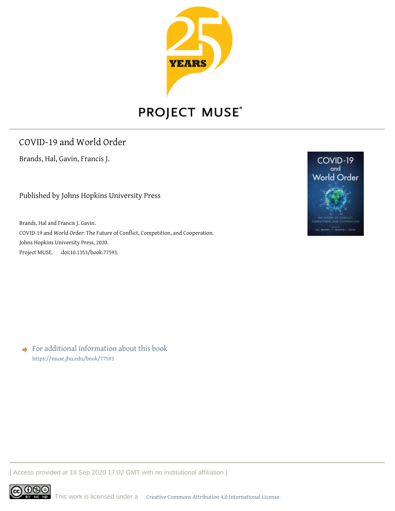

# PROJECT MUSE®

### COVID-19 and World Order

Brands, Hal, Gavin, Francis J.

Published by Johns Hopkins University Press

Brands, Hal and Francis J. Gavin. COVID-19 and World Order: The Future of Conflict, Competition, and Cooperation. Johns Hopkins University Press, 2020. Project MUSE. doi:10.1353/book.77593.



◆ For additional information about this book <https://muse.jhu.edu/book/77593>

[ Access provided at 18 Sep 2020 17:02 GMT with no institutional affiliation ]

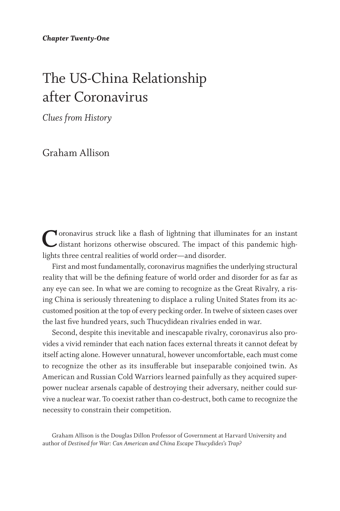## [The US-China Relationship](#page--1-0)  after Coronavirus

*Clues from History*

Graham Allison

Coronavirus struck like a flash of lightning that illuminates for an instant distant horizons otherwise obscured. The impact of this pandemic highlights three central realities of world order—and disorder.

First and most fundamentally, coronavirus magnifies the underlying structural reality that will be the defining feature of world order and disorder for as far as any eye can see. In what we are coming to recognize as the Great Rivalry, a rising China is seriously threatening to displace a ruling United States from its accustomed position at the top of every pecking order. In twelve of sixteen cases over the last five hundred years, such Thucydidean rivalries ended in war.

Second, despite this inevitable and inescapable rivalry, coronavirus also provides a vivid reminder that each nation faces external threats it cannot defeat by itself acting alone. However unnatural, however uncomfortable, each must come to recognize the other as its insufferable but inseparable conjoined twin. As American and Russian Cold Warriors learned painfully as they acquired superpower nuclear arsenals capable of destroying their adversary, neither could survive a nuclear war. To coexist rather than co-destruct, both came to recognize the necessity to constrain their competition.

Graham Allison is the Douglas Dillon Professor of Government at Harvard University and author of *Destined for War: Can American and China Escape Thucydides's Trap?*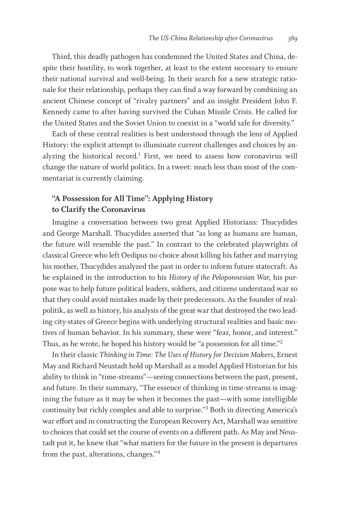Third, this deadly pathogen has condemned the United States and China, despite their hostility, to work together, at least to the extent necessary to ensure their national survival and well-being. In their search for a new strategic rationale for their relationship, perhaps they can find a way forward by combining an ancient Chinese concept of "rivalry partners" and an insight President John F. Kennedy came to after having survived the Cuban Missile Crisis. He called for the United States and the Soviet Union to coexist in a "world safe for diversity."

Each of these central realities is best understood through the lens of Applied History: the explicit attempt to illuminate current challenges and choices by analyzing the historical record.<sup>1</sup> First, we need to assess how coronavirus will change the nature of world politics. In a tweet: much less than most of the commentariat is currently claiming.

### **"A Possession for All Time": Applying History to Clarify the Coronavirus**

Imagine a conversation between two great Applied Historians: Thucydides and George Marshall. Thucydides asserted that "as long as humans are human, the future will resemble the past." In contrast to the celebrated playwrights of classical Greece who left Oedipus no choice about killing his father and marrying his mother, Thucydides analyzed the past in order to inform future statecraft. As he explained in the introduction to his *History of the Peloponnesian War*, his purpose was to help future political leaders, soldiers, and citizens understand war so that they could avoid mistakes made by their predecessors. As the founder of realpolitik, as well as history, his analysis of the great war that destroyed the two leading city-states of Greece begins with underlying structural realities and basic motives of human behavior. In his summary, these were "fear, honor, and interest." Thus, as he wrote, he hoped his history would be "a possession for all time."2

In their classic *Thinking in Time: The Uses of History for Decision Makers*, Ernest May and Richard Neustadt hold up Marshall as a model Applied Historian for his ability to think in "time-streams"—seeing connections between the past, present, and future. In their summary, "The essence of thinking in time-streams is imagining the future as it may be when it becomes the past—with some intelligible continuity but richly complex and able to surprise."3 Both in directing America's war effort and in constructing the European Recovery Act, Marshall was sensitive to choices that could set the course of events on a different path. As May and Neustadt put it, he knew that "what matters for the future in the present is departures from the past, alterations, changes."4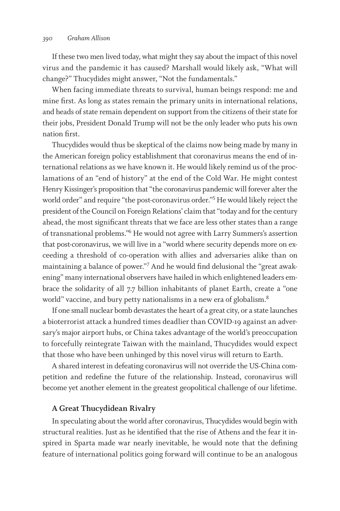If these two men lived today, what might they say about the impact of this novel virus and the pandemic it has caused? Marshall would likely ask, "What will change?" Thucydides might answer, "Not the fundamentals."

When facing immediate threats to survival, human beings respond: me and mine first. As long as states remain the primary units in international relations, and heads of state remain dependent on support from the citizens of their state for their jobs, President Donald Trump will not be the only leader who puts his own nation first.

Thucydides would thus be skeptical of the claims now being made by many in the American foreign policy establishment that coronavirus means the end of international relations as we have known it. He would likely remind us of the proclamations of an "end of history" at the end of the Cold War. He might contest Henry Kissinger's proposition that "the coronavirus pandemic will forever alter the world order" and require "the post-coronavirus order."5 He would likely reject the president of the Council on Foreign Relations' claim that "today and for the century ahead, the most significant threats that we face are less other states than a range of transnational problems."6 He would not agree with Larry Summers's assertion that post-coronavirus, we will live in a "world where security depends more on exceeding a threshold of co-operation with allies and adversaries alike than on maintaining a balance of power."7 And he would find delusional the "great awakening" many international observers have hailed in which enlightened leaders embrace the solidarity of all 7.7 billion inhabitants of planet Earth, create a "one world" vaccine, and bury petty nationalisms in a new era of globalism.<sup>8</sup>

If one small nuclear bomb devastates the heart of a great city, or a state launches a bioterrorist attack a hundred times deadlier than COVID-19 against an adversary's major airport hubs, or China takes advantage of the world's preoccupation to forcefully reintegrate Taiwan with the mainland, Thucydides would expect that those who have been unhinged by this novel virus will return to Earth.

A shared interest in defeating coronavirus will not override the US-China competition and redefine the future of the relationship. Instead, coronavirus will become yet another element in the greatest geopolitical challenge of our lifetime.

#### **A Great Thucydidean Rivalry**

In speculating about the world after coronavirus, Thucydides would begin with structural realities. Just as he identified that the rise of Athens and the fear it inspired in Sparta made war nearly inevitable, he would note that the defining feature of international politics going forward will continue to be an analogous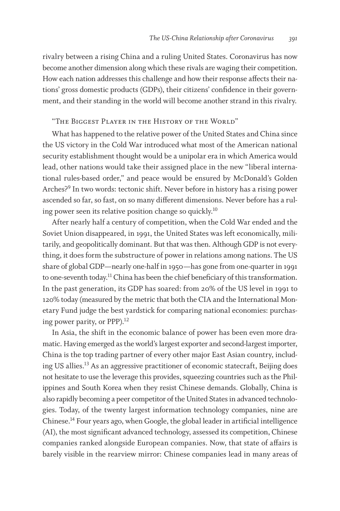rivalry between a rising China and a ruling United States. Coronavirus has now become another dimension along which these rivals are waging their competition. How each nation addresses this challenge and how their response affects their nations' gross domestic products (GDPs), their citizens' confidence in their government, and their standing in the world will become another strand in this rivalry.

#### "The Biggest Player in the History of the World"

What has happened to the relative power of the United States and China since the US victory in the Cold War introduced what most of the American national security establishment thought would be a unipolar era in which America would lead, other nations would take their assigned place in the new "liberal international rules-based order," and peace would be ensured by McDonald's Golden Arches?9 In two words: tectonic shift. Never before in history has a rising power ascended so far, so fast, on so many different dimensions. Never before has a ruling power seen its relative position change so quickly.10

After nearly half a century of competition, when the Cold War ended and the Soviet Union disappeared, in 1991, the United States was left economically, militarily, and geopolitically dominant. But that was then. Although GDP is not everything, it does form the substructure of power in relations among nations. The US share of global GDP—nearly one-half in 1950—has gone from one-quarter in 1991 to one-seventh today.11 China has been the chief beneficiary of this transformation. In the past generation, its GDP has soared: from 20% of the US level in 1991 to 120% today (measured by the metric that both the CIA and the International Monetary Fund judge the best yardstick for comparing national economies: purchasing power parity, or PPP).<sup>12</sup>

In Asia, the shift in the economic balance of power has been even more dramatic. Having emerged as the world's largest exporter and second-largest importer, China is the top trading partner of every other major East Asian country, including US allies.13 As an aggressive practitioner of economic statecraft, Beijing does not hesitate to use the leverage this provides, squeezing countries such as the Philippines and South Korea when they resist Chinese demands. Globally, China is also rapidly becoming a peer competitor of the United States in advanced technologies. Today, of the twenty largest information technology companies, nine are Chinese.14 Four years ago, when Google, the global leader in artificial intelligence (AI), the most significant advanced technology, assessed its competition, Chinese companies ranked alongside European companies. Now, that state of affairs is barely visible in the rearview mirror: Chinese companies lead in many areas of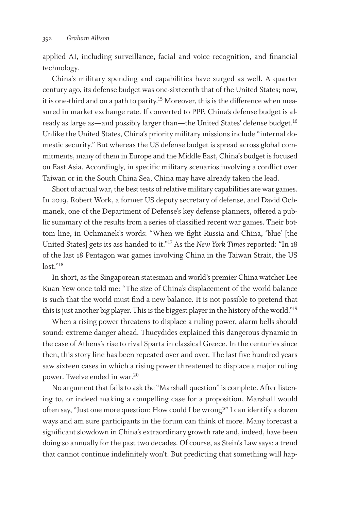applied AI, including surveillance, facial and voice recognition, and financial technology.

China's military spending and capabilities have surged as well. A quarter century ago, its defense budget was one-sixteenth that of the United States; now, it is one-third and on a path to parity.<sup>15</sup> Moreover, this is the difference when measured in market exchange rate. If converted to PPP, China's defense budget is already as large as—and possibly larger than—the United States' defense budget.<sup>16</sup> Unlike the United States, China's priority military missions include "internal domestic security." But whereas the US defense budget is spread across global commitments, many of them in Europe and the Middle East, China's budget is focused on East Asia. Accordingly, in specific military scenarios involving a conflict over Taiwan or in the South China Sea, China may have already taken the lead.

Short of actual war, the best tests of relative military capabilities are war games. In 2019, Robert Work, a former US deputy secretary of defense, and David Ochmanek, one of the Department of Defense's key defense planners, offered a public summary of the results from a series of classified recent war games. Their bottom line, in Ochmanek's words: "When we fight Russia and China, 'blue' [the United States] gets its ass handed to it."17 As the *New York Times* reported: "In 18 of the last 18 Pentagon war games involving China in the Taiwan Strait, the US lost."18

In short, as the Singaporean statesman and world's premier China watcher Lee Kuan Yew once told me: "The size of China's displacement of the world balance is such that the world must find a new balance. It is not possible to pretend that this is just another big player. This is the biggest player in the history of the world."19

When a rising power threatens to displace a ruling power, alarm bells should sound: extreme danger ahead. Thucydides explained this dangerous dynamic in the case of Athens's rise to rival Sparta in classical Greece. In the centuries since then, this story line has been repeated over and over. The last five hundred years saw sixteen cases in which a rising power threatened to displace a major ruling power. Twelve ended in war.<sup>20</sup>

No argument that fails to ask the "Marshall question" is complete. After listening to, or indeed making a compelling case for a proposition, Marshall would often say, "Just one more question: How could I be wrong?" I can identify a dozen ways and am sure participants in the forum can think of more. Many forecast a significant slowdown in China's extraordinary growth rate and, indeed, have been doing so annually for the past two decades. Of course, as Stein's Law says: a trend that cannot continue indefinitely won't. But predicting that something will hap-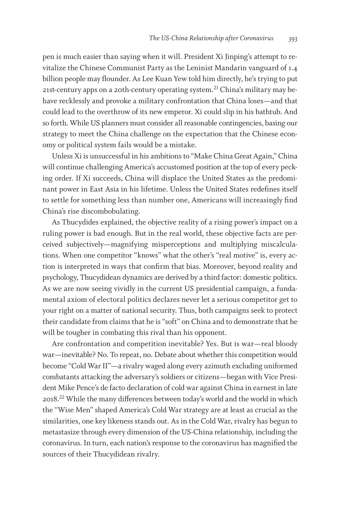pen is much easier than saying when it will. President Xi Jinping's attempt to revitalize the Chinese Communist Party as the Leninist Mandarin vanguard of 1.4 billion people may flounder. As Lee Kuan Yew told him directly, he's trying to put 21st-century apps on a 20th-century operating system.<sup>21</sup> China's military may behave recklessly and provoke a military confrontation that China loses—and that could lead to the overthrow of its new emperor. Xi could slip in his bathtub. And so forth. While US planners must consider all reasonable contingencies, basing our strategy to meet the China challenge on the expectation that the Chinese economy or political system fails would be a mistake.

Unless Xi is unsuccessful in his ambitions to "Make China Great Again," China will continue challenging America's accustomed position at the top of every pecking order. If Xi succeeds, China will displace the United States as the predominant power in East Asia in his lifetime. Unless the United States redefines itself to settle for something less than number one, Americans will increasingly find China's rise discombobulating.

As Thucydides explained, the objective reality of a rising power's impact on a ruling power is bad enough. But in the real world, these objective facts are perceived subjectively—magnifying misperceptions and multiplying miscalculations. When one competitor "knows" what the other's "real motive" is, every action is interpreted in ways that confirm that bias. Moreover, beyond reality and psychology, Thucydidean dynamics are derived by a third factor: domestic politics. As we are now seeing vividly in the current US presidential campaign, a fundamental axiom of electoral politics declares never let a serious competitor get to your right on a matter of national security. Thus, both campaigns seek to protect their candidate from claims that he is "soft" on China and to demonstrate that he will be tougher in combating this rival than his opponent.

Are confrontation and competition inevitable? Yes. But is war—real bloody war—inevitable? No. To repeat, no. Debate about whether this competition would become "Cold War II"—a rivalry waged along every azimuth excluding uniformed combatants attacking the adversary's soldiers or citizens—began with Vice President Mike Pence's de facto declaration of cold war against China in earnest in late 2018.22 While the many differences between today's world and the world in which the "Wise Men" shaped America's Cold War strategy are at least as crucial as the similarities, one key likeness stands out. As in the Cold War, rivalry has begun to metastasize through every dimension of the US-China relationship, including the coronavirus. In turn, each nation's response to the coronavirus has magnified the sources of their Thucydidean rivalry.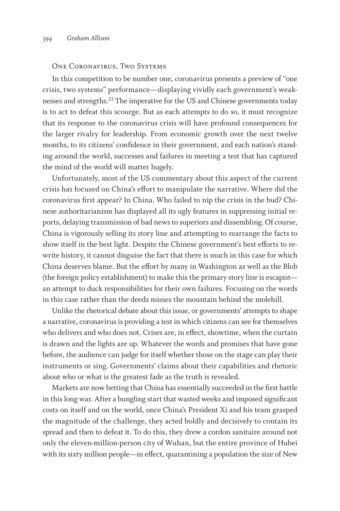#### One Coronavirus, Two Systems

In this competition to be number one, coronavirus presents a preview of "one crisis, two systems" performance—displaying vividly each government's weaknesses and strengths.23 The imperative for the US and Chinese governments today is to act to defeat this scourge. But as each attempts to do so, it must recognize that its response to the coronavirus crisis will have profound consequences for the larger rivalry for leadership. From economic growth over the next twelve months, to its citizens' confidence in their government, and each nation's standing around the world, successes and failures in meeting a test that has captured the mind of the world will matter hugely.

Unfortunately, most of the US commentary about this aspect of the current crisis has focused on China's effort to manipulate the narrative. Where did the coronavirus first appear? In China. Who failed to nip the crisis in the bud? Chinese authoritarianism has displayed all its ugly features in suppressing initial reports, delaying transmission of bad news to superiors and dissembling. Of course, China is vigorously selling its story line and attempting to rearrange the facts to show itself in the best light. Despite the Chinese government's best efforts to rewrite history, it cannot disguise the fact that there is much in this case for which China deserves blame. But the effort by many in Washington as well as the Blob (the foreign policy establishment) to make this the primary story line is escapist an attempt to duck responsibilities for their own failures. Focusing on the words in this case rather than the deeds misses the mountain behind the molehill.

Unlike the rhetorical debate about this issue, or governments' attempts to shape a narrative, coronavirus is providing a test in which citizens can see for themselves who delivers and who does not. Crises are, in effect, showtime, when the curtain is drawn and the lights are up. Whatever the words and promises that have gone before, the audience can judge for itself whether those on the stage can play their instruments or sing. Governments' claims about their capabilities and rhetoric about who or what is the greatest fade as the truth is revealed.

Markets are now betting that China has essentially succeeded in the first battle in this long war. After a bungling start that wasted weeks and imposed significant costs on itself and on the world, once China's President Xi and his team grasped the magnitude of the challenge, they acted boldly and decisively to contain its spread and then to defeat it. To do this, they drew a cordon sanitaire around not only the eleven-million-person city of Wuhan, but the entire province of Hubei with its sixty million people—in effect, quarantining a population the size of New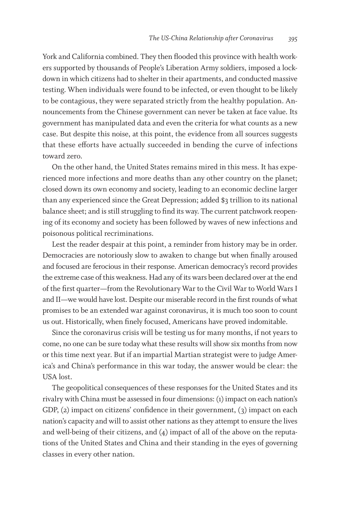York and California combined. They then flooded this province with health workers supported by thousands of People's Liberation Army soldiers, imposed a lockdown in which citizens had to shelter in their apartments, and conducted massive testing. When individuals were found to be infected, or even thought to be likely to be contagious, they were separated strictly from the healthy population. Announcements from the Chinese government can never be taken at face value. Its government has manipulated data and even the criteria for what counts as a new case. But despite this noise, at this point, the evidence from all sources suggests that these efforts have actually succeeded in bending the curve of infections toward zero.

On the other hand, the United States remains mired in this mess. It has experienced more infections and more deaths than any other country on the planet; closed down its own economy and society, leading to an economic decline larger than any experienced since the Great Depression; added \$3 trillion to its national balance sheet; and is still struggling to find its way. The current patchwork reopening of its economy and society has been followed by waves of new infections and poisonous political recriminations.

Lest the reader despair at this point, a reminder from history may be in order. Democracies are notoriously slow to awaken to change but when finally aroused and focused are ferocious in their response. American democracy's record provides the extreme case of this weakness. Had any of its wars been declared over at the end of the first quarter—from the Revolutionary War to the Civil War to World Wars I and II—we would have lost. Despite our miserable record in the first rounds of what promises to be an extended war against coronavirus, it is much too soon to count us out. Historically, when finely focused, Americans have proved indomitable.

Since the coronavirus crisis will be testing us for many months, if not years to come, no one can be sure today what these results will show six months from now or this time next year. But if an impartial Martian strategist were to judge America's and China's performance in this war today, the answer would be clear: the USA lost.

The geopolitical consequences of these responses for the United States and its rivalry with China must be assessed in four dimensions: (1) impact on each nation's GDP,  $(2)$  impact on citizens' confidence in their government,  $(3)$  impact on each nation's capacity and will to assist other nations as they attempt to ensure the lives and well-being of their citizens, and (4) impact of all of the above on the reputations of the United States and China and their standing in the eyes of governing classes in every other nation.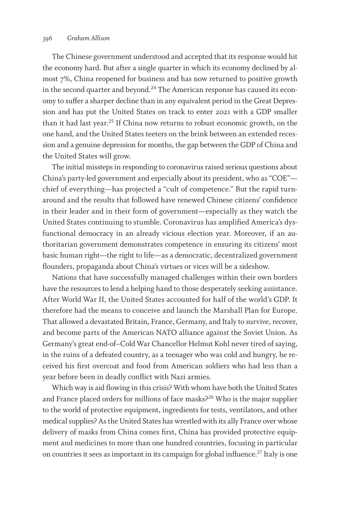The Chinese government understood and accepted that its response would hit the economy hard. But after a single quarter in which its economy declined by almost 7%, China reopened for business and has now returned to positive growth in the second quarter and beyond.<sup>24</sup> The American response has caused its economy to suffer a sharper decline than in any equivalent period in the Great Depression and has put the United States on track to enter 2021 with a GDP smaller than it had last year.25 If China now returns to robust economic growth, on the one hand, and the United States teeters on the brink between an extended recession and a genuine depression for months, the gap between the GDP of China and the United States will grow.

The initial missteps in responding to coronavirus raised serious questions about China's party-led government and especially about its president, who as "COE" chief of everything—has projected a "cult of competence." But the rapid turnaround and the results that followed have renewed Chinese citizens' confidence in their leader and in their form of government—especially as they watch the United States continuing to stumble. Coronavirus has amplified America's dysfunctional democracy in an already vicious election year. Moreover, if an authoritarian government demonstrates competence in ensuring its citizens' most basic human right—the right to life—as a democratic, decentralized government flounders, propaganda about China's virtues or vices will be a sideshow.

Nations that have successfully managed challenges within their own borders have the resources to lend a helping hand to those desperately seeking assistance. After World War II, the United States accounted for half of the world's GDP. It therefore had the means to conceive and launch the Marshall Plan for Europe. That allowed a devastated Britain, France, Germany, and Italy to survive, recover, and become parts of the American NATO alliance against the Soviet Union. As Germany's great end-of–Cold War Chancellor Helmut Kohl never tired of saying, in the ruins of a defeated country, as a teenager who was cold and hungry, he received his first overcoat and food from American soldiers who had less than a year before been in deadly conflict with Nazi armies.

Which way is aid flowing in this crisis? With whom have both the United States and France placed orders for millions of face masks?<sup>26</sup> Who is the major supplier to the world of protective equipment, ingredients for tests, ventilators, and other medical supplies? As the United States has wrestled with its ally France over whose delivery of masks from China comes first, China has provided protective equipment and medicines to more than one hundred countries, focusing in particular on countries it sees as important in its campaign for global influence.27 Italy is one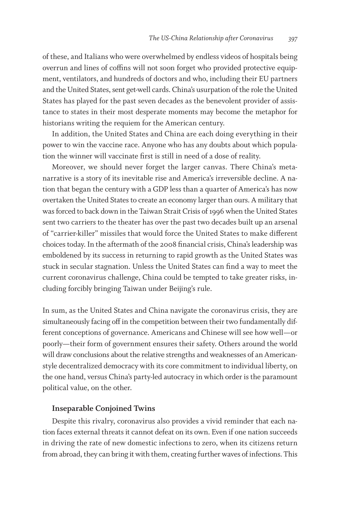of these, and Italians who were overwhelmed by endless videos of hospitals being overrun and lines of coffins will not soon forget who provided protective equipment, ventilators, and hundreds of doctors and who, including their EU partners and the United States, sent get-well cards. China's usurpation of the role the United States has played for the past seven decades as the benevolent provider of assistance to states in their most desperate moments may become the metaphor for historians writing the requiem for the American century.

In addition, the United States and China are each doing everything in their power to win the vaccine race. Anyone who has any doubts about which population the winner will vaccinate first is still in need of a dose of reality.

Moreover, we should never forget the larger canvas. There China's metanarrative is a story of its inevitable rise and America's irreversible decline. A nation that began the century with a GDP less than a quarter of America's has now overtaken the United States to create an economy larger than ours. A military that was forced to back down in the Taiwan Strait Crisis of 1996 when the United States sent two carriers to the theater has over the past two decades built up an arsenal of "carrier-killer" missiles that would force the United States to make different choices today. In the aftermath of the 2008 financial crisis, China's leadership was emboldened by its success in returning to rapid growth as the United States was stuck in secular stagnation. Unless the United States can find a way to meet the current coronavirus challenge, China could be tempted to take greater risks, including forcibly bringing Taiwan under Beijing's rule.

In sum, as the United States and China navigate the coronavirus crisis, they are simultaneously facing off in the competition between their two fundamentally different conceptions of governance. Americans and Chinese will see how well—or poorly—their form of government ensures their safety. Others around the world will draw conclusions about the relative strengths and weaknesses of an Americanstyle decentralized democracy with its core commitment to individual liberty, on the one hand, versus China's party-led autocracy in which order is the paramount political value, on the other.

#### **Inseparable Conjoined Twins**

Despite this rivalry, coronavirus also provides a vivid reminder that each nation faces external threats it cannot defeat on its own. Even if one nation succeeds in driving the rate of new domestic infections to zero, when its citizens return from abroad, they can bring it with them, creating further waves of infections. This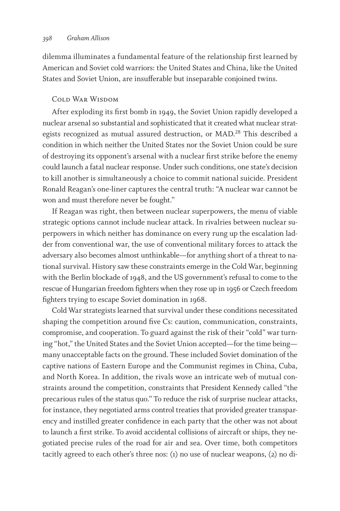dilemma illuminates a fundamental feature of the relationship first learned by American and Soviet cold warriors: the United States and China, like the United States and Soviet Union, are insufferable but inseparable conjoined twins.

#### Cold War Wisdom

After exploding its first bomb in 1949, the Soviet Union rapidly developed a nuclear arsenal so substantial and sophisticated that it created what nuclear strategists recognized as mutual assured destruction, or MAD.28 This described a condition in which neither the United States nor the Soviet Union could be sure of destroying its opponent's arsenal with a nuclear first strike before the enemy could launch a fatal nuclear response. Under such conditions, one state's decision to kill another is simultaneously a choice to commit national suicide. President Ronald Reagan's one-liner captures the central truth: "A nuclear war cannot be won and must therefore never be fought."

If Reagan was right, then between nuclear superpowers, the menu of viable strategic options cannot include nuclear attack. In rivalries between nuclear superpowers in which neither has dominance on every rung up the escalation ladder from conventional war, the use of conventional military forces to attack the adversary also becomes almost unthinkable—for anything short of a threat to national survival. History saw these constraints emerge in the Cold War, beginning with the Berlin blockade of 1948, and the US government's refusal to come to the rescue of Hungarian freedom fighters when they rose up in 1956 or Czech freedom fighters trying to escape Soviet domination in 1968.

Cold War strategists learned that survival under these conditions necessitated shaping the competition around five Cs: caution, communication, constraints, compromise, and cooperation. To guard against the risk of their "cold" war turning "hot," the United States and the Soviet Union accepted—for the time being many unacceptable facts on the ground. These included Soviet domination of the captive nations of Eastern Europe and the Communist regimes in China, Cuba, and North Korea. In addition, the rivals wove an intricate web of mutual constraints around the competition, constraints that President Kennedy called "the precarious rules of the status quo." To reduce the risk of surprise nuclear attacks, for instance, they negotiated arms control treaties that provided greater transparency and instilled greater confidence in each party that the other was not about to launch a first strike. To avoid accidental collisions of aircraft or ships, they negotiated precise rules of the road for air and sea. Over time, both competitors tacitly agreed to each other's three nos: (1) no use of nuclear weapons, (2) no di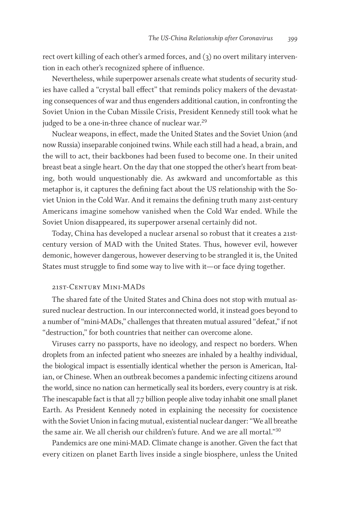rect overt killing of each other's armed forces, and (3) no overt military intervention in each other's recognized sphere of influence.

Nevertheless, while superpower arsenals create what students of security studies have called a "crystal ball effect" that reminds policy makers of the devastating consequences of war and thus engenders additional caution, in confronting the Soviet Union in the Cuban Missile Crisis, President Kennedy still took what he judged to be a one-in-three chance of nuclear war.<sup>29</sup>

Nuclear weapons, in effect, made the United States and the Soviet Union (and now Russia) inseparable conjoined twins. While each still had a head, a brain, and the will to act, their backbones had been fused to become one. In their united breast beat a single heart. On the day that one stopped the other's heart from beating, both would unquestionably die. As awkward and uncomfortable as this metaphor is, it captures the defining fact about the US relationship with the Soviet Union in the Cold War. And it remains the defining truth many 21st-century Americans imagine somehow vanished when the Cold War ended. While the Soviet Union disappeared, its superpower arsenal certainly did not.

Today, China has developed a nuclear arsenal so robust that it creates a 21stcentury version of MAD with the United States. Thus, however evil, however demonic, however dangerous, however deserving to be strangled it is, the United States must struggle to find some way to live with it—or face dying together.

#### 21st-Century Mini-MADs

The shared fate of the United States and China does not stop with mutual assured nuclear destruction. In our interconnected world, it instead goes beyond to a number of "mini-MADs," challenges that threaten mutual assured "defeat," if not "destruction," for both countries that neither can overcome alone.

Viruses carry no passports, have no ideology, and respect no borders. When droplets from an infected patient who sneezes are inhaled by a healthy individual, the biological impact is essentially identical whether the person is American, Italian, or Chinese. When an outbreak becomes a pandemic infecting citizens around the world, since no nation can hermetically seal its borders, every country is at risk. The inescapable fact is that all 7.7 billion people alive today inhabit one small planet Earth. As President Kennedy noted in explaining the necessity for coexistence with the Soviet Union in facing mutual, existential nuclear danger: "We all breathe the same air. We all cherish our children's future. And we are all mortal."30

Pandemics are one mini-MAD. Climate change is another. Given the fact that every citizen on planet Earth lives inside a single biosphere, unless the United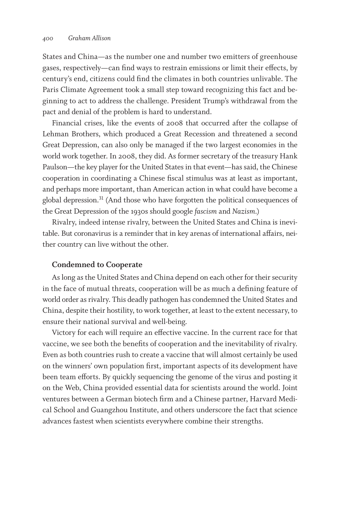States and China—as the number one and number two emitters of greenhouse gases, respectively—can find ways to restrain emissions or limit their effects, by century's end, citizens could find the climates in both countries unlivable. The Paris Climate Agreement took a small step toward recognizing this fact and beginning to act to address the challenge. President Trump's withdrawal from the pact and denial of the problem is hard to understand.

Financial crises, like the events of 2008 that occurred after the collapse of Lehman Brothers, which produced a Great Recession and threatened a second Great Depression, can also only be managed if the two largest economies in the world work together. In 2008, they did. As former secretary of the treasury Hank Paulson—the key player for the United States in that event—has said, the Chinese cooperation in coordinating a Chinese fiscal stimulus was at least as important, and perhaps more important, than American action in what could have become a global depression.<sup>31</sup> (And those who have forgotten the political consequences of the Great Depression of the 1930s should google *fascism* and *Nazism*.)

Rivalry, indeed intense rivalry, between the United States and China is inevitable. But coronavirus is a reminder that in key arenas of international affairs, neither country can live without the other.

#### **Condemned to Cooperate**

As long as the United States and China depend on each other for their security in the face of mutual threats, cooperation will be as much a defining feature of world order as rivalry. This deadly pathogen has condemned the United States and China, despite their hostility, to work together, at least to the extent necessary, to ensure their national survival and well-being.

Victory for each will require an effective vaccine. In the current race for that vaccine, we see both the benefits of cooperation and the inevitability of rivalry. Even as both countries rush to create a vaccine that will almost certainly be used on the winners' own population first, important aspects of its development have been team efforts. By quickly sequencing the genome of the virus and posting it on the Web, China provided essential data for scientists around the world. Joint ventures between a German biotech firm and a Chinese partner, Harvard Medical School and Guangzhou Institute, and others underscore the fact that science advances fastest when scientists everywhere combine their strengths.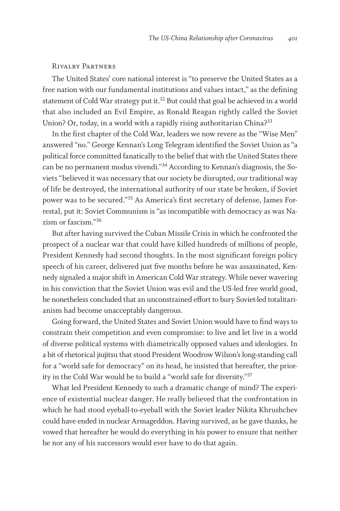#### Rivalry Partners

The United States' core national interest is "to preserve the United States as a free nation with our fundamental institutions and values intact," as the defining statement of Cold War strategy put it.<sup>32</sup> But could that goal be achieved in a world that also included an Evil Empire, as Ronald Reagan rightly called the Soviet Union? Or, today, in a world with a rapidly rising authoritarian China?<sup>33</sup>

In the first chapter of the Cold War, leaders we now revere as the "Wise Men" answered "no." George Kennan's Long Telegram identified the Soviet Union as "a political force committed fanatically to the belief that with the United States there can be no permanent modus vivendi."34 According to Kennan's diagnosis, the Soviets "believed it was necessary that our society be disrupted, our traditional way of life be destroyed, the international authority of our state be broken, if Soviet power was to be secured."35 As America's first secretary of defense, James Forrestal, put it: Soviet Communism is "as incompatible with democracy as was Nazism or fascism."36

But after having survived the Cuban Missile Crisis in which he confronted the prospect of a nuclear war that could have killed hundreds of millions of people, President Kennedy had second thoughts. In the most significant foreign policy speech of his career, delivered just five months before he was assassinated, Kennedy signaled a major shift in American Cold War strategy. While never wavering in his conviction that the Soviet Union was evil and the US-led free world good, he nonetheless concluded that an unconstrained effort to bury Soviet-led totalitarianism had become unacceptably dangerous.

Going forward, the United States and Soviet Union would have to find ways to constrain their competition and even compromise: to live and let live in a world of diverse political systems with diametrically opposed values and ideologies. In a bit of rhetorical jiujitsu that stood President Woodrow Wilson's long-standing call for a "world safe for democracy" on its head, he insisted that hereafter, the priority in the Cold War would be to build a "world safe for diversity."37

What led President Kennedy to such a dramatic change of mind? The experience of existential nuclear danger. He really believed that the confrontation in which he had stood eyeball-to-eyeball with the Soviet leader Nikita Khrushchev could have ended in nuclear Armageddon. Having survived, as he gave thanks, he vowed that hereafter he would do everything in his power to ensure that neither he nor any of his successors would ever have to do that again.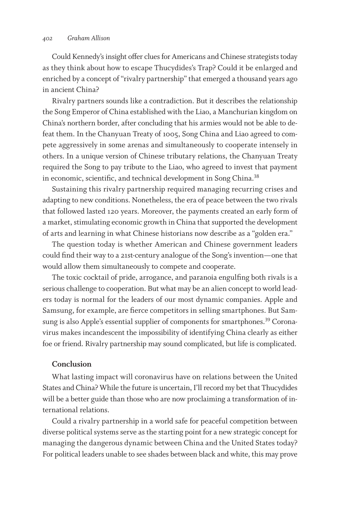Could Kennedy's insight offer clues for Americans and Chinese strategists today as they think about how to escape Thucydides's Trap? Could it be enlarged and enriched by a concept of "rivalry partnership" that emerged a thousand years ago in ancient China?

Rivalry partners sounds like a contradiction. But it describes the relationship the Song Emperor of China established with the Liao, a Manchurian kingdom on China's northern border, after concluding that his armies would not be able to defeat them. In the Chanyuan Treaty of 1005, Song China and Liao agreed to compete aggressively in some arenas and simultaneously to cooperate intensely in others. In a unique version of Chinese tributary relations, the Chanyuan Treaty required the Song to pay tribute to the Liao, who agreed to invest that payment in economic, scientific, and technical development in Song China.<sup>38</sup>

Sustaining this rivalry partnership required managing recurring crises and adapting to new conditions. Nonetheless, the era of peace between the two rivals that followed lasted 120 years. Moreover, the payments created an early form of a market, stimulating economic growth in China that supported the development of arts and learning in what Chinese historians now describe as a "golden era."

The question today is whether American and Chinese government leaders could find their way to a 21st-century analogue of the Song's invention—one that would allow them simultaneously to compete and cooperate.

The toxic cocktail of pride, arrogance, and paranoia engulfing both rivals is a serious challenge to cooperation. But what may be an alien concept to world leaders today is normal for the leaders of our most dynamic companies. Apple and Samsung, for example, are fierce competitors in selling smartphones. But Samsung is also Apple's essential supplier of components for smartphones.<sup>39</sup> Coronavirus makes incandescent the impossibility of identifying China clearly as either foe or friend. Rivalry partnership may sound complicated, but life is complicated.

#### **Conclusion**

What lasting impact will coronavirus have on relations between the United States and China? While the future is uncertain, I'll record my bet that Thucydides will be a better guide than those who are now proclaiming a transformation of international relations.

Could a rivalry partnership in a world safe for peaceful competition between diverse political systems serve as the starting point for a new strategic concept for managing the dangerous dynamic between China and the United States today? For political leaders unable to see shades between black and white, this may prove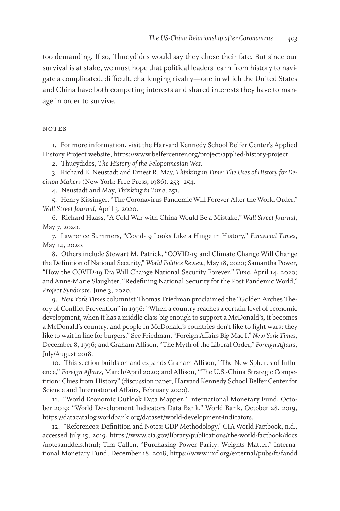too demanding. If so, Thucydides would say they chose their fate. But since our survival is at stake, we must hope that political leaders learn from history to navigate a complicated, difficult, challenging rivalry—one in which the United States and China have both competing interests and shared interests they have to manage in order to survive.

#### notes

1. For more information, visit the Harvard Kennedy School Belfer Center's Applied History Project website,<https://www.belfercenter.org/project/applied-history-project>.

2. Thucydides, *The History of the Peloponnesian War*.

3. Richard E. Neustadt and Ernest R. May, *Thinking in Time: The Uses of History for Decision Makers* (New York: Free Press, 1986), 253–254.

4. Neustadt and May, *Thinking in Time*, 251.

5. Henry Kissinger, "The Coronavirus Pandemic Will Forever Alter the World Order," *Wall Street Journal*, April 3, 2020.

6. Richard Haass, "A Cold War with China Would Be a Mistake," *Wall Street Journal*, May 7, 2020.

7. Lawrence Summers, "Covid-19 Looks Like a Hinge in History," *Financial Times*, May 14, 2020.

8. Others include Stewart M. Patrick, "COVID-19 and Climate Change Will Change the Definition of National Security," *World Politics Review*, May 18, 2020; Samantha Power, "How the COVID-19 Era Will Change National Security Forever," *Time*, April 14, 2020; and Anne-Marie Slaughter, "Redefining National Security for the Post Pandemic World," *Project Syndicate*, June 3, 2020.

9. *New York Times* columnist Thomas Friedman proclaimed the "Golden Arches Theory of Conflict Prevention" in 1996: "When a country reaches a certain level of economic development, when it has a middle class big enough to support a McDonald's, it becomes a McDonald's country, and people in McDonald's countries don't like to fight wars; they like to wait in line for burgers." See Friedman, "Foreign Affairs Big Mac I," *New York Times*, December 8, 1996; and Graham Allison, "The Myth of the Liberal Order," *Foreign Affairs*, July/August 2018.

10. This section builds on and expands Graham Allison, "The New Spheres of Influence," *Foreign Affairs*, March/April 2020; and Allison, "The U.S.-China Strategic Competition: Clues from History" (discussion paper, Harvard Kennedy School Belfer Center for Science and International Affairs, February 2020).

11. "World Economic Outlook Data Mapper," International Monetary Fund, October 2019; "World Development Indicators Data Bank," World Bank, October 28, 2019, [https://datacatalog.worldbank.org/dataset/world-development-indicators.](https://datacatalog.worldbank.org/dataset/world-development-indicators)

12. "References: Definition and Notes: GDP Methodology," CIA World Factbook, n.d., accessed July 15, 2019, [https://www.cia.gov/library/publications/the-world-factbook/docs](https://www.cia.gov/library/publications/the-world-factbook/docs/notesanddefs.html) [/notesanddefs.html](https://www.cia.gov/library/publications/the-world-factbook/docs/notesanddefs.html); Tim Callen, "Purchasing Power Parity: Weights Matter," International Monetary Fund, December 18, 2018, [https://www.imf.org/external/pubs/ft/fandd](https://www.imf.org/external/pubs/ft/fandd/basics/ppp.htm)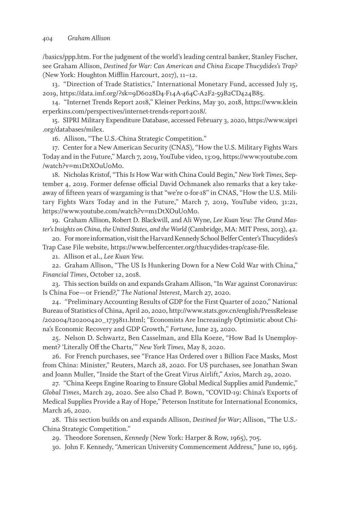[/basics/ppp.htm](https://www.imf.org/external/pubs/ft/fandd/basics/ppp.htm). For the judgment of the world's leading central banker, Stanley Fischer, see Graham Allison, *Destined for War: Can American and China Escape Thucydides's Trap?* (New York: Houghton Mifflin Harcourt, 2017), 11–12.

13. "Direction of Trade Statistics," International Monetary Fund, accessed July 15, 2019, https://data.imf.org/?sk=[9D6028D4-F14A-464C-A2F2-59B2CD424B85](https://data.imf.org/?sk=9D6028D4-F14A-464C-A2F2-59B2CD424B85).

14. "Internet Trends Report 2018," Kleiner Perkins, May 30, 2018, [https://www.klein](https://www.kleinerperkins.com/perspectives/internet-trends-report-2018/) [erperkins.com/perspectives/internet-trends-report-2018/](https://www.kleinerperkins.com/perspectives/internet-trends-report-2018/).

15. SIPRI Military Expenditure Database, accessed February 3, 2020, [https://www.sipri](https://www.sipri.org/databases/milex) [.org/databases/milex.](https://www.sipri.org/databases/milex)

16. Allison, "The U.S.-China Strategic Competition."

17. Center for a New American Security (CNAS), "How the U.S. Military Fights Wars Today and in the Future," March 7, 2019, YouTube video, 13:09, [https://www.youtube.com](https://www.youtube.com/watch?v=m1DtXOuU0M0) /watch?v=[m1DtXOuU0M0](https://www.youtube.com/watch?v=m1DtXOuU0M0).

18. Nicholas Kristof, "This Is How War with China Could Begin," *New York Times*, September 4, 2019. Former defense official David Ochmanek also remarks that a key takeaway of fifteen years of wargaming is that "we're 0-for-18" in CNAS, "How the U.S. Military Fights Wars Today and in the Future," March 7, 2019, YouTube video, 31:21, [https://www.youtube.com/watch?v](https://www.youtube.com/watch?v=m1DtXOuU0M0)=m1DtXOuU0M0.

19. Graham Allison, Robert D. Blackwill, and Ali Wyne, *Lee Kuan Yew: The Grand Master's Insights on China, the United States, and the World* (Cambridge, MA: MIT Press, 2013), 42.

20. For more information, visit the Harvard Kennedy School Belfer Center's Thucydides's Trap Case File website, <https://www.belfercenter.org/thucydides-trap/case-file>.

21. Allison et al., *Lee Kuan Yew*.

22. Graham Allison, "The US Is Hunkering Down for a New Cold War with China," *Financial Times*, October 12, 2018.

23. This section builds on and expands Graham Allison, "In War against Coronavirus: Is China Foe—or Friend?," *The National Interest*, March 27, 2020.

24. "Preliminary Accounting Results of GDP for the First Quarter of 2020," National Bureau of Statistics of China, April 20, 2020, [http://www.stats.gov.cn/english/PressRelease](http://www.stats.gov.cn/english/PressRelease/202004/t20200420_1739811.html) [/202004/t20200420\\_1739811.html](http://www.stats.gov.cn/english/PressRelease/202004/t20200420_1739811.html); "Economists Are Increasingly Optimistic about China's Economic Recovery and GDP Growth," *Fortune*, June 23, 2020.

25. Nelson D. Schwartz, Ben Casselman, and Ella Koeze, "How Bad Is Unemployment? 'Literally Off the Charts,'" *New York Times*, May 8, 2020.

26. For French purchases, see "France Has Ordered over 1 Billion Face Masks, Most from China: Minister," Reuters, March 28, 2020. For US purchases, see Jonathan Swan and Joann Muller, "Inside the Start of the Great Virus Airlift," *Axios*, March 29, 2020.

27. "China Keeps Engine Roaring to Ensure Global Medical Supplies amid Pandemic," *Global Times*, March 29, 2020. See also Chad P. Bown, "COVID-19: China's Exports of Medical Supplies Provide a Ray of Hope," Peterson Institute for International Economics, March 26, 2020.

28. This section builds on and expands Allison, *Destined for War*; Allison, "The U.S.- China Strategic Competition."

29. Theodore Sorensen, *Kennedy* (New York: Harper & Row, 1965), 705.

30. John F. Kennedy, "American University Commencement Address," June 10, 1963.